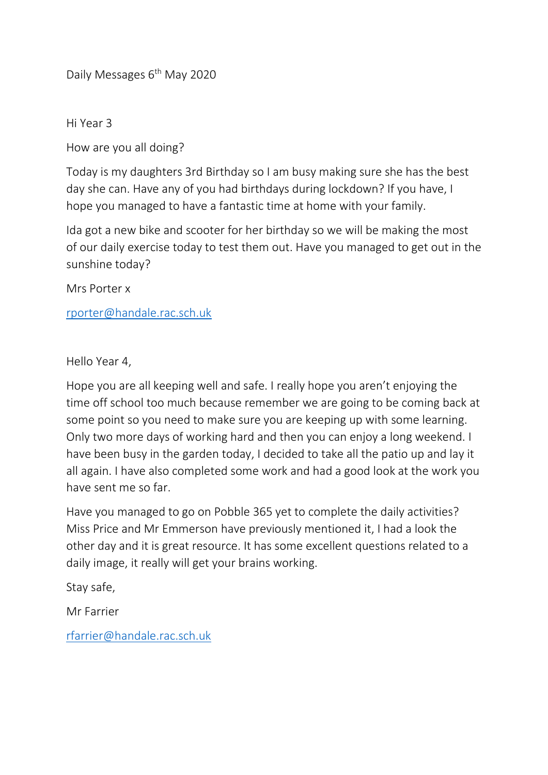Daily Messages 6<sup>th</sup> May 2020

Hi Year 3

How are you all doing?

Today is my daughters 3rd Birthday so I am busy making sure she has the best day she can. Have any of you had birthdays during lockdown? If you have, I hope you managed to have a fantastic time at home with your family.

Ida got a new bike and scooter for her birthday so we will be making the most of our daily exercise today to test them out. Have you managed to get out in the sunshine today?

Mrs Porter x

[rporter@handale.rac.sch.uk](mailto:rporter@handale.rac.sch.uk)

Hello Year 4,

Hope you are all keeping well and safe. I really hope you aren't enjoying the time off school too much because remember we are going to be coming back at some point so you need to make sure you are keeping up with some learning. Only two more days of working hard and then you can enjoy a long weekend. I have been busy in the garden today, I decided to take all the patio up and lay it all again. I have also completed some work and had a good look at the work you have sent me so far.

Have you managed to go on Pobble 365 yet to complete the daily activities? Miss Price and Mr Emmerson have previously mentioned it, I had a look the other day and it is great resource. It has some excellent questions related to a daily image, it really will get your brains working.

Stay safe,

Mr Farrier

[rfarrier@handale.rac.sch.uk](mailto:rfarrier@handale.rac.sch.uk)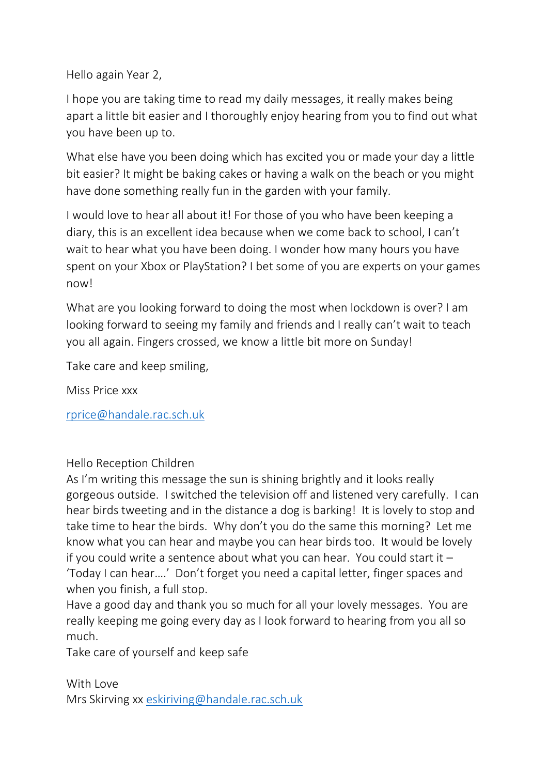Hello again Year 2,

I hope you are taking time to read my daily messages, it really makes being apart a little bit easier and I thoroughly enjoy hearing from you to find out what you have been up to.

What else have you been doing which has excited you or made your day a little bit easier? It might be baking cakes or having a walk on the beach or you might have done something really fun in the garden with your family.

I would love to hear all about it! For those of you who have been keeping a diary, this is an excellent idea because when we come back to school, I can't wait to hear what you have been doing. I wonder how many hours you have spent on your Xbox or PlayStation? I bet some of you are experts on your games now!

What are you looking forward to doing the most when lockdown is over? I am looking forward to seeing my family and friends and I really can't wait to teach you all again. Fingers crossed, we know a little bit more on Sunday!

Take care and keep smiling,

Miss Price xxx

[rprice@handale.rac.sch.uk](mailto:rprice@handale.rac.sch.uk)

Hello Reception Children

As I'm writing this message the sun is shining brightly and it looks really gorgeous outside. I switched the television off and listened very carefully. I can hear birds tweeting and in the distance a dog is barking! It is lovely to stop and take time to hear the birds. Why don't you do the same this morning? Let me know what you can hear and maybe you can hear birds too. It would be lovely if you could write a sentence about what you can hear. You could start it – 'Today I can hear….' Don't forget you need a capital letter, finger spaces and when you finish, a full stop.

Have a good day and thank you so much for all your lovely messages. You are really keeping me going every day as I look forward to hearing from you all so much.

Take care of yourself and keep safe

With Love Mrs Skirving xx [eskiriving@handale.rac.sch.uk](mailto:eskiriving@handale.rac.sch.uk)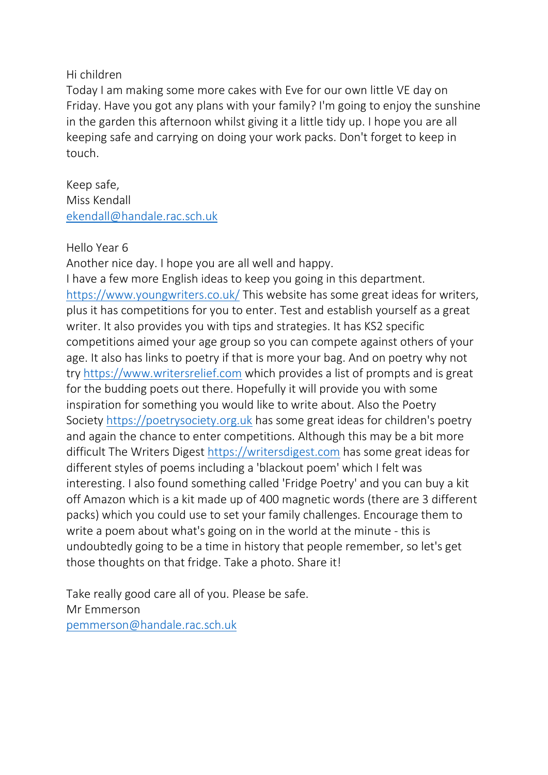## Hi children

Today I am making some more cakes with Eve for our own little VE day on Friday. Have you got any plans with your family? I'm going to enjoy the sunshine in the garden this afternoon whilst giving it a little tidy up. I hope you are all keeping safe and carrying on doing your work packs. Don't forget to keep in touch.

Keep safe, Miss Kendall [ekendall@handale.rac.sch.uk](mailto:ekendall@handale.rac.sch.uk)

## Hello Year 6

Another nice day. I hope you are all well and happy.

I have a few more English ideas to keep you going in this department. <https://www.youngwriters.co.uk/> This website has some great ideas for writers, plus it has competitions for you to enter. Test and establish yourself as a great writer. It also provides you with tips and strategies. It has KS2 specific competitions aimed your age group so you can compete against others of your age. It also has links to poetry if that is more your bag. And on poetry why not try [https://www.writersrelief.com](https://www.writersrelief.com/) which provides a list of prompts and is great for the budding poets out there. Hopefully it will provide you with some inspiration for something you would like to write about. Also the Poetry Society [https://poetrysociety.org.uk](https://poetrysociety.org.uk/) has some great ideas for children's poetry and again the chance to enter competitions. Although this may be a bit more difficult The Writers Digest [https://writersdigest.com](https://writersdigest.com/) has some great ideas for different styles of poems including a 'blackout poem' which I felt was interesting. I also found something called 'Fridge Poetry' and you can buy a kit off Amazon which is a kit made up of 400 magnetic words (there are 3 different packs) which you could use to set your family challenges. Encourage them to write a poem about what's going on in the world at the minute - this is undoubtedly going to be a time in history that people remember, so let's get those thoughts on that fridge. Take a photo. Share it!

Take really good care all of you. Please be safe. Mr Emmerson [pemmerson@handale.rac.sch.uk](mailto:pemmerson@handale.rac.sch.uk)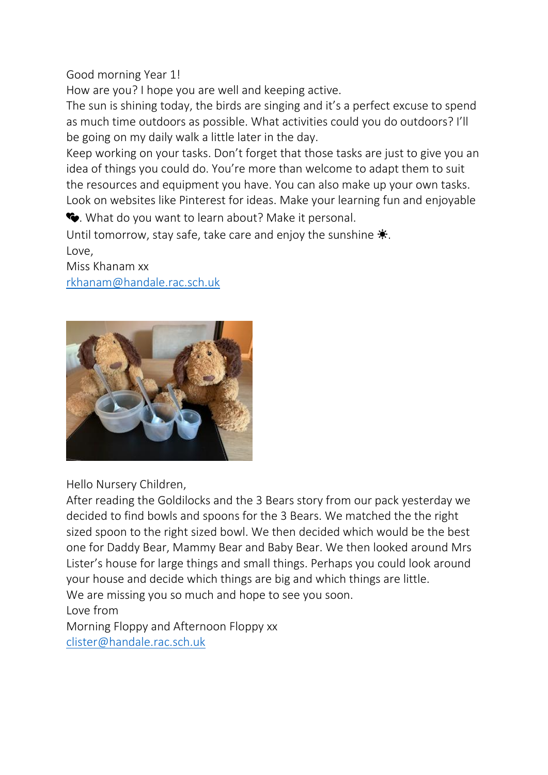## Good morning Year 1!

How are you? I hope you are well and keeping active.

The sun is shining today, the birds are singing and it's a perfect excuse to spend as much time outdoors as possible. What activities could you do outdoors? I'll be going on my daily walk a little later in the day.

Keep working on your tasks. Don't forget that those tasks are just to give you an idea of things you could do. You're more than welcome to adapt them to suit the resources and equipment you have. You can also make up your own tasks. Look on websites like Pinterest for ideas. Make your learning fun and enjoyable

. What do you want to learn about? Make it personal.

Until tomorrow, stay safe, take care and enjoy the sunshine  $\ddot{\mathbf{v}}$ . Love,

Miss Khanam xx [rkhanam@handale.rac.sch.uk](mailto:rkhanam@handale.rac.sch.uk)



Hello Nursery Children,

After reading the Goldilocks and the 3 Bears story from our pack yesterday we decided to find bowls and spoons for the 3 Bears. We matched the the right sized spoon to the right sized bowl. We then decided which would be the best one for Daddy Bear, Mammy Bear and Baby Bear. We then looked around Mrs Lister's house for large things and small things. Perhaps you could look around your house and decide which things are big and which things are little. We are missing you so much and hope to see you soon.

Love from

Morning Floppy and Afternoon Floppy xx [clister@handale.rac.sch.uk](mailto:clister@handale.rac.sch.uk)